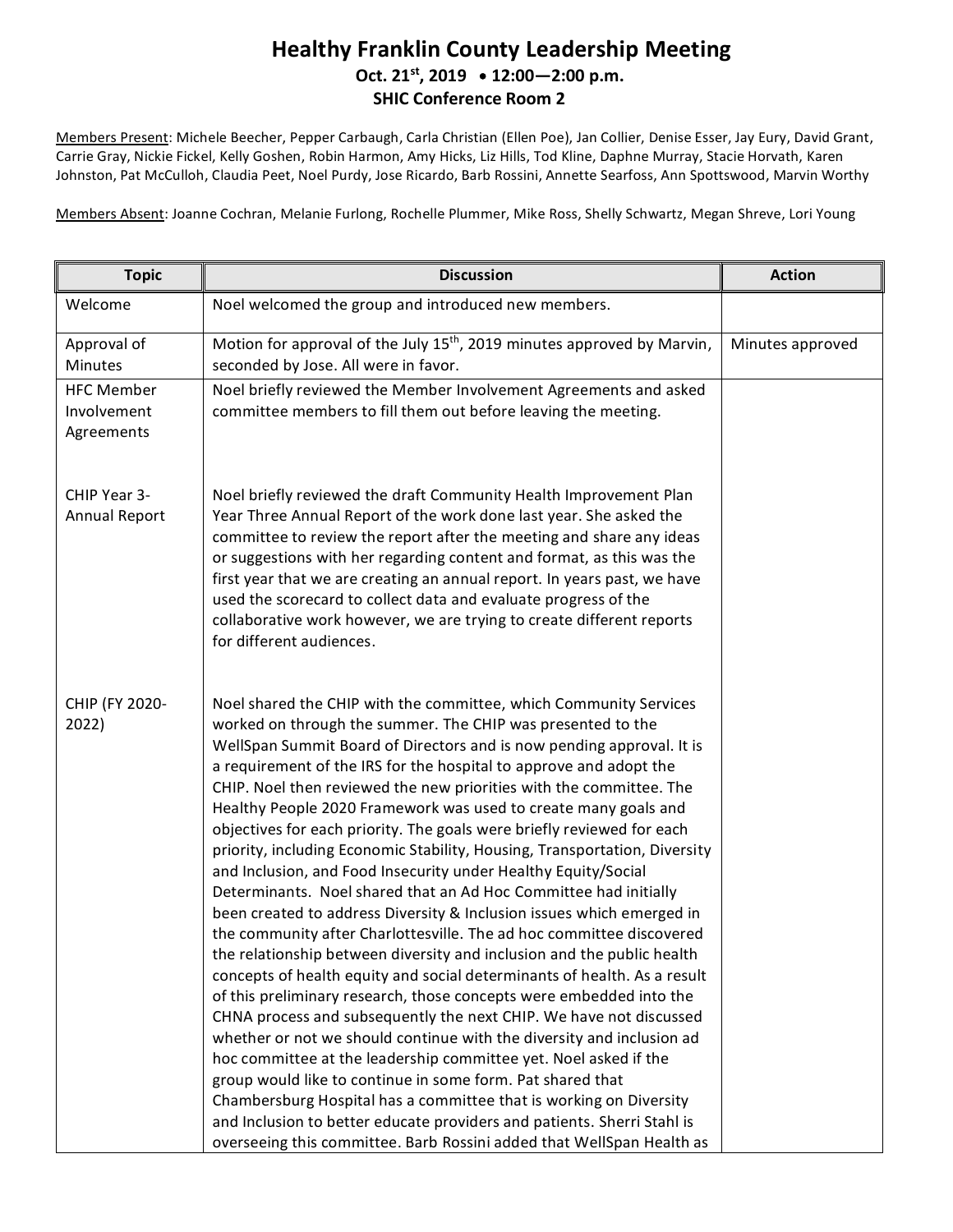## **Healthy Franklin County Leadership Meeting Oct. 21st, 2019 12:00—2:00 p.m. SHIC Conference Room 2**

Members Present: Michele Beecher, Pepper Carbaugh, Carla Christian (Ellen Poe), Jan Collier, Denise Esser, Jay Eury, David Grant, Carrie Gray, Nickie Fickel, Kelly Goshen, Robin Harmon, Amy Hicks, Liz Hills, Tod Kline, Daphne Murray, Stacie Horvath, Karen Johnston, Pat McCulloh, Claudia Peet, Noel Purdy, Jose Ricardo, Barb Rossini, Annette Searfoss, Ann Spottswood, Marvin Worthy

Members Absent: Joanne Cochran, Melanie Furlong, Rochelle Plummer, Mike Ross, Shelly Schwartz, Megan Shreve, Lori Young

| <b>Topic</b>                                   | <b>Discussion</b>                                                                                                                                                                                                                                                                                                                                                                                                                                                                                                                                                                                                                                                                                                                                                                                                                                                                                                                                                                                                                                                                                                                                                                                                                                                                                                                                                                                                                                                                                                                                                                                                | <b>Action</b>    |
|------------------------------------------------|------------------------------------------------------------------------------------------------------------------------------------------------------------------------------------------------------------------------------------------------------------------------------------------------------------------------------------------------------------------------------------------------------------------------------------------------------------------------------------------------------------------------------------------------------------------------------------------------------------------------------------------------------------------------------------------------------------------------------------------------------------------------------------------------------------------------------------------------------------------------------------------------------------------------------------------------------------------------------------------------------------------------------------------------------------------------------------------------------------------------------------------------------------------------------------------------------------------------------------------------------------------------------------------------------------------------------------------------------------------------------------------------------------------------------------------------------------------------------------------------------------------------------------------------------------------------------------------------------------------|------------------|
| Welcome                                        | Noel welcomed the group and introduced new members.                                                                                                                                                                                                                                                                                                                                                                                                                                                                                                                                                                                                                                                                                                                                                                                                                                                                                                                                                                                                                                                                                                                                                                                                                                                                                                                                                                                                                                                                                                                                                              |                  |
| Approval of<br><b>Minutes</b>                  | Motion for approval of the July 15 <sup>th</sup> , 2019 minutes approved by Marvin,<br>seconded by Jose. All were in favor.                                                                                                                                                                                                                                                                                                                                                                                                                                                                                                                                                                                                                                                                                                                                                                                                                                                                                                                                                                                                                                                                                                                                                                                                                                                                                                                                                                                                                                                                                      | Minutes approved |
| <b>HFC Member</b><br>Involvement<br>Agreements | Noel briefly reviewed the Member Involvement Agreements and asked<br>committee members to fill them out before leaving the meeting.                                                                                                                                                                                                                                                                                                                                                                                                                                                                                                                                                                                                                                                                                                                                                                                                                                                                                                                                                                                                                                                                                                                                                                                                                                                                                                                                                                                                                                                                              |                  |
| CHIP Year 3-<br>Annual Report                  | Noel briefly reviewed the draft Community Health Improvement Plan<br>Year Three Annual Report of the work done last year. She asked the<br>committee to review the report after the meeting and share any ideas<br>or suggestions with her regarding content and format, as this was the<br>first year that we are creating an annual report. In years past, we have<br>used the scorecard to collect data and evaluate progress of the<br>collaborative work however, we are trying to create different reports<br>for different audiences.                                                                                                                                                                                                                                                                                                                                                                                                                                                                                                                                                                                                                                                                                                                                                                                                                                                                                                                                                                                                                                                                     |                  |
| CHIP (FY 2020-<br>2022)                        | Noel shared the CHIP with the committee, which Community Services<br>worked on through the summer. The CHIP was presented to the<br>WellSpan Summit Board of Directors and is now pending approval. It is<br>a requirement of the IRS for the hospital to approve and adopt the<br>CHIP. Noel then reviewed the new priorities with the committee. The<br>Healthy People 2020 Framework was used to create many goals and<br>objectives for each priority. The goals were briefly reviewed for each<br>priority, including Economic Stability, Housing, Transportation, Diversity<br>and Inclusion, and Food Insecurity under Healthy Equity/Social<br>Determinants. Noel shared that an Ad Hoc Committee had initially<br>been created to address Diversity & Inclusion issues which emerged in<br>the community after Charlottesville. The ad hoc committee discovered<br>the relationship between diversity and inclusion and the public health<br>concepts of health equity and social determinants of health. As a result<br>of this preliminary research, those concepts were embedded into the<br>CHNA process and subsequently the next CHIP. We have not discussed<br>whether or not we should continue with the diversity and inclusion ad<br>hoc committee at the leadership committee yet. Noel asked if the<br>group would like to continue in some form. Pat shared that<br>Chambersburg Hospital has a committee that is working on Diversity<br>and Inclusion to better educate providers and patients. Sherri Stahl is<br>overseeing this committee. Barb Rossini added that WellSpan Health as |                  |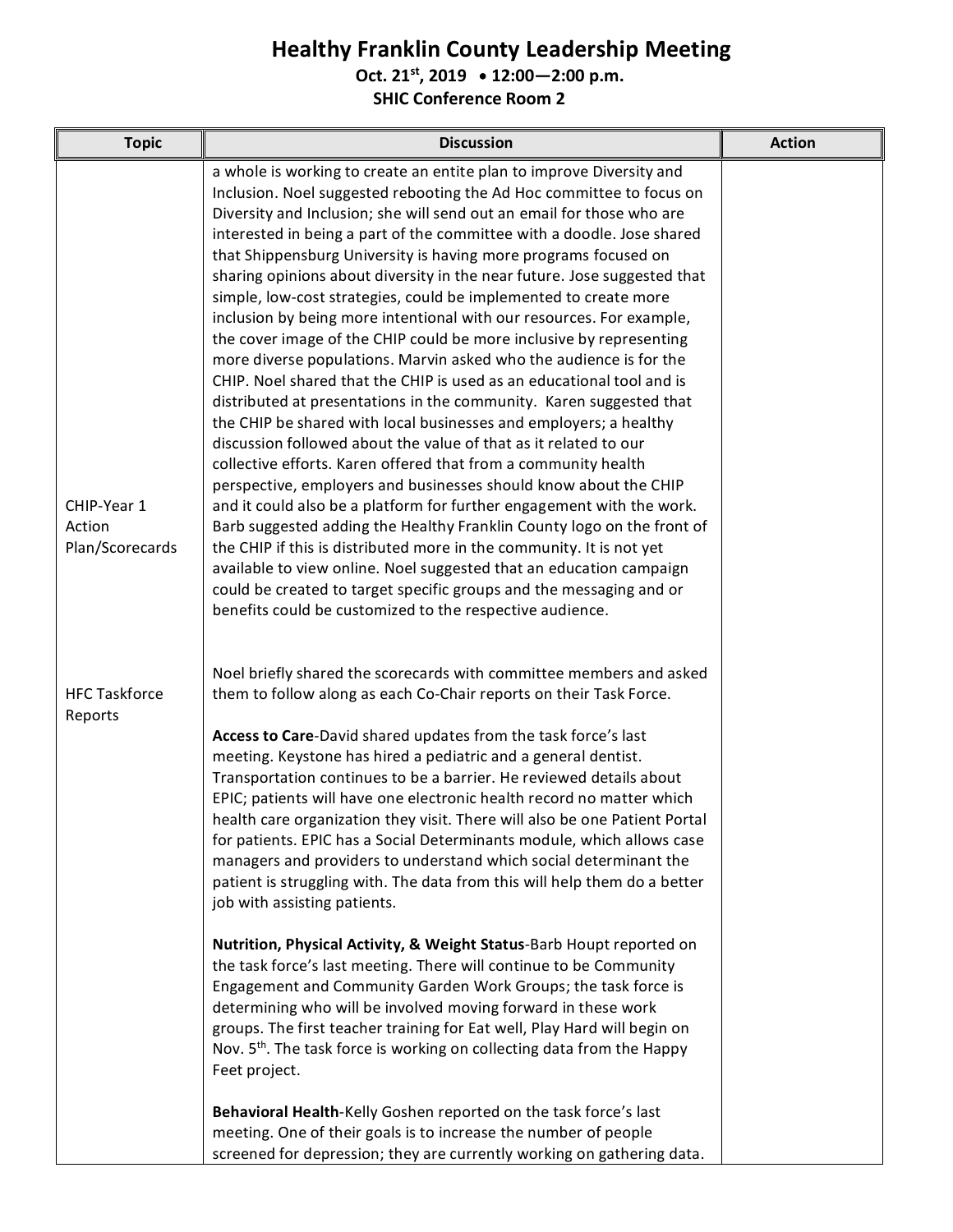## **Healthy Franklin County Leadership Meeting**

**Oct. 21st, 2019 12:00—2:00 p.m.**

**SHIC Conference Room 2**

| <b>Topic</b>                             | <b>Discussion</b>                                                                                                                                                                                                                                                                                                                                                                                                                                                                                                                                                                                                                                                                                                                                                                                                                                                                                                                                                                                                                                                                                                                                                                                                                                                                                                                                                                                                                                                                                                                                                                                           | <b>Action</b> |
|------------------------------------------|-------------------------------------------------------------------------------------------------------------------------------------------------------------------------------------------------------------------------------------------------------------------------------------------------------------------------------------------------------------------------------------------------------------------------------------------------------------------------------------------------------------------------------------------------------------------------------------------------------------------------------------------------------------------------------------------------------------------------------------------------------------------------------------------------------------------------------------------------------------------------------------------------------------------------------------------------------------------------------------------------------------------------------------------------------------------------------------------------------------------------------------------------------------------------------------------------------------------------------------------------------------------------------------------------------------------------------------------------------------------------------------------------------------------------------------------------------------------------------------------------------------------------------------------------------------------------------------------------------------|---------------|
| CHIP-Year 1<br>Action<br>Plan/Scorecards | a whole is working to create an entite plan to improve Diversity and<br>Inclusion. Noel suggested rebooting the Ad Hoc committee to focus on<br>Diversity and Inclusion; she will send out an email for those who are<br>interested in being a part of the committee with a doodle. Jose shared<br>that Shippensburg University is having more programs focused on<br>sharing opinions about diversity in the near future. Jose suggested that<br>simple, low-cost strategies, could be implemented to create more<br>inclusion by being more intentional with our resources. For example,<br>the cover image of the CHIP could be more inclusive by representing<br>more diverse populations. Marvin asked who the audience is for the<br>CHIP. Noel shared that the CHIP is used as an educational tool and is<br>distributed at presentations in the community. Karen suggested that<br>the CHIP be shared with local businesses and employers; a healthy<br>discussion followed about the value of that as it related to our<br>collective efforts. Karen offered that from a community health<br>perspective, employers and businesses should know about the CHIP<br>and it could also be a platform for further engagement with the work.<br>Barb suggested adding the Healthy Franklin County logo on the front of<br>the CHIP if this is distributed more in the community. It is not yet<br>available to view online. Noel suggested that an education campaign<br>could be created to target specific groups and the messaging and or<br>benefits could be customized to the respective audience. |               |
| <b>HFC Taskforce</b><br>Reports          | Noel briefly shared the scorecards with committee members and asked<br>them to follow along as each Co-Chair reports on their Task Force.<br>Access to Care-David shared updates from the task force's last<br>meeting. Keystone has hired a pediatric and a general dentist.<br>Transportation continues to be a barrier. He reviewed details about<br>EPIC; patients will have one electronic health record no matter which<br>health care organization they visit. There will also be one Patient Portal<br>for patients. EPIC has a Social Determinants module, which allows case<br>managers and providers to understand which social determinant the<br>patient is struggling with. The data from this will help them do a better<br>job with assisting patients.<br>Nutrition, Physical Activity, & Weight Status-Barb Houpt reported on<br>the task force's last meeting. There will continue to be Community<br>Engagement and Community Garden Work Groups; the task force is<br>determining who will be involved moving forward in these work<br>groups. The first teacher training for Eat well, Play Hard will begin on<br>Nov. 5 <sup>th</sup> . The task force is working on collecting data from the Happy<br>Feet project.                                                                                                                                                                                                                                                                                                                                                                 |               |
|                                          | Behavioral Health-Kelly Goshen reported on the task force's last<br>meeting. One of their goals is to increase the number of people<br>screened for depression; they are currently working on gathering data.                                                                                                                                                                                                                                                                                                                                                                                                                                                                                                                                                                                                                                                                                                                                                                                                                                                                                                                                                                                                                                                                                                                                                                                                                                                                                                                                                                                               |               |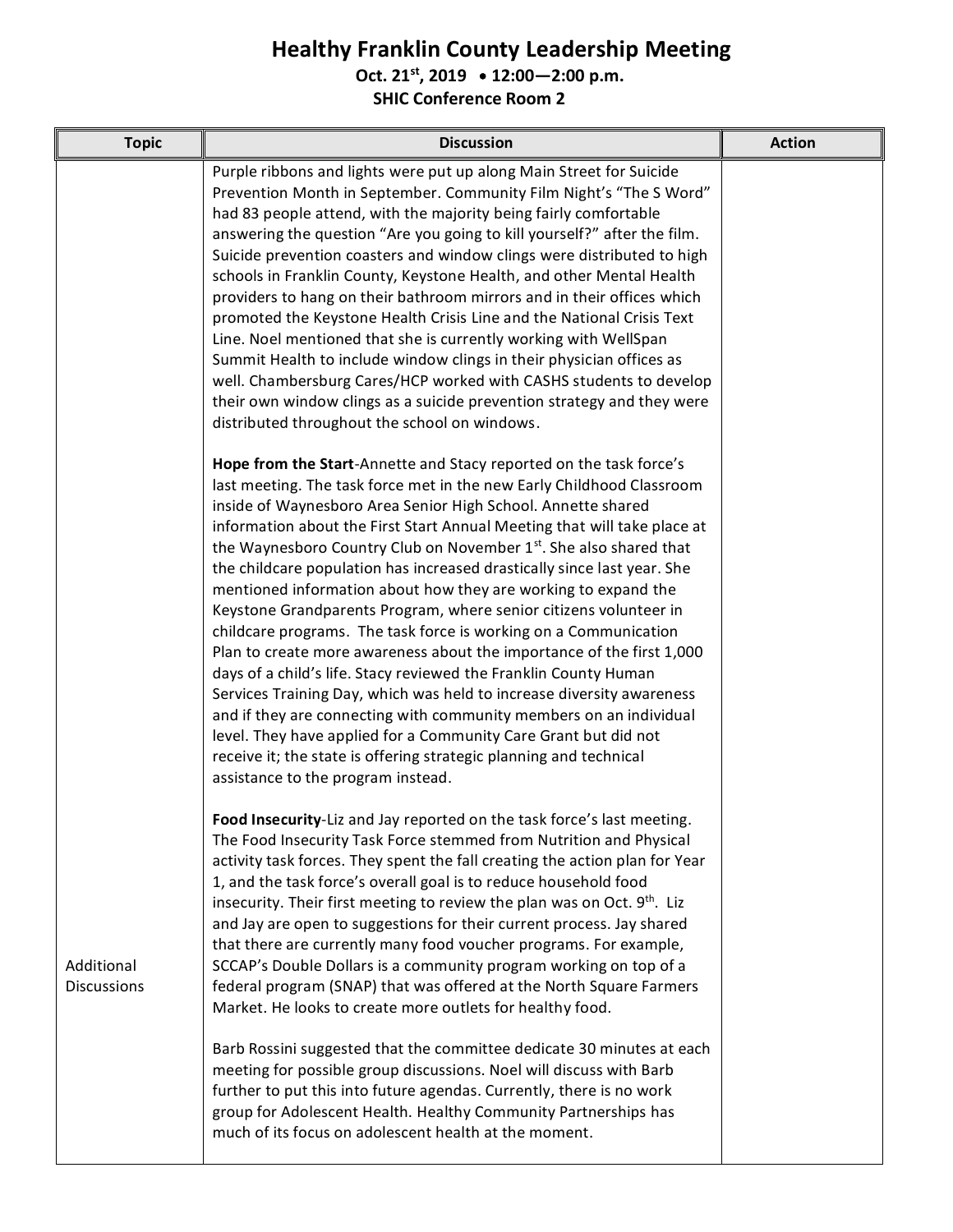## **Healthy Franklin County Leadership Meeting**

**Oct. 21st, 2019 12:00—2:00 p.m.**

**SHIC Conference Room 2**

| <b>Topic</b>                     | <b>Discussion</b>                                                                                                                                                                                                                                                                                                                                                                                                                                                                                                                                                                                                                                                                                                                                                                                                                                                                                                                                                                                                                                                                                                             | <b>Action</b> |
|----------------------------------|-------------------------------------------------------------------------------------------------------------------------------------------------------------------------------------------------------------------------------------------------------------------------------------------------------------------------------------------------------------------------------------------------------------------------------------------------------------------------------------------------------------------------------------------------------------------------------------------------------------------------------------------------------------------------------------------------------------------------------------------------------------------------------------------------------------------------------------------------------------------------------------------------------------------------------------------------------------------------------------------------------------------------------------------------------------------------------------------------------------------------------|---------------|
|                                  | Purple ribbons and lights were put up along Main Street for Suicide<br>Prevention Month in September. Community Film Night's "The S Word"<br>had 83 people attend, with the majority being fairly comfortable<br>answering the question "Are you going to kill yourself?" after the film.<br>Suicide prevention coasters and window clings were distributed to high<br>schools in Franklin County, Keystone Health, and other Mental Health<br>providers to hang on their bathroom mirrors and in their offices which<br>promoted the Keystone Health Crisis Line and the National Crisis Text<br>Line. Noel mentioned that she is currently working with WellSpan<br>Summit Health to include window clings in their physician offices as<br>well. Chambersburg Cares/HCP worked with CASHS students to develop<br>their own window clings as a suicide prevention strategy and they were<br>distributed throughout the school on windows.                                                                                                                                                                                   |               |
|                                  | Hope from the Start-Annette and Stacy reported on the task force's<br>last meeting. The task force met in the new Early Childhood Classroom<br>inside of Waynesboro Area Senior High School. Annette shared<br>information about the First Start Annual Meeting that will take place at<br>the Waynesboro Country Club on November 1st. She also shared that<br>the childcare population has increased drastically since last year. She<br>mentioned information about how they are working to expand the<br>Keystone Grandparents Program, where senior citizens volunteer in<br>childcare programs. The task force is working on a Communication<br>Plan to create more awareness about the importance of the first 1,000<br>days of a child's life. Stacy reviewed the Franklin County Human<br>Services Training Day, which was held to increase diversity awareness<br>and if they are connecting with community members on an individual<br>level. They have applied for a Community Care Grant but did not<br>receive it; the state is offering strategic planning and technical<br>assistance to the program instead. |               |
| Additional<br><b>Discussions</b> | Food Insecurity-Liz and Jay reported on the task force's last meeting.<br>The Food Insecurity Task Force stemmed from Nutrition and Physical<br>activity task forces. They spent the fall creating the action plan for Year<br>1, and the task force's overall goal is to reduce household food<br>insecurity. Their first meeting to review the plan was on Oct. 9 <sup>th</sup> . Liz<br>and Jay are open to suggestions for their current process. Jay shared<br>that there are currently many food voucher programs. For example,<br>SCCAP's Double Dollars is a community program working on top of a<br>federal program (SNAP) that was offered at the North Square Farmers<br>Market. He looks to create more outlets for healthy food.<br>Barb Rossini suggested that the committee dedicate 30 minutes at each<br>meeting for possible group discussions. Noel will discuss with Barb<br>further to put this into future agendas. Currently, there is no work<br>group for Adolescent Health. Healthy Community Partnerships has<br>much of its focus on adolescent health at the moment.                            |               |